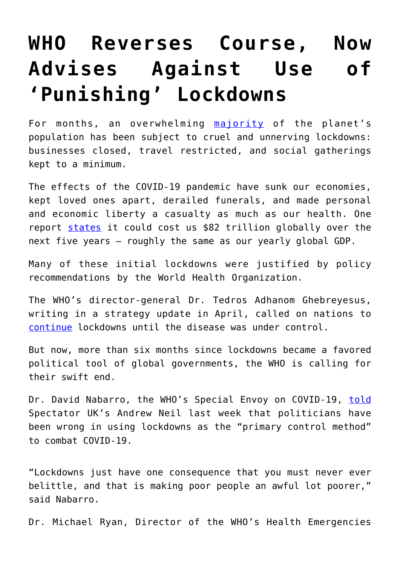## **[WHO Reverses Course, Now](https://intellectualtakeout.org/2020/10/who-reverses-course-now-advises-against-use-of-punishing-lockdowns/) [Advises Against Use of](https://intellectualtakeout.org/2020/10/who-reverses-course-now-advises-against-use-of-punishing-lockdowns/) ['Punishing' Lockdowns](https://intellectualtakeout.org/2020/10/who-reverses-course-now-advises-against-use-of-punishing-lockdowns/)**

For months, an overwhelming [majority](https://www.unicef.org/press-releases/dont-let-children-be-hidden-victims-covid-19-pandemic) of the planet's population has been subject to cruel and unnerving lockdowns: businesses closed, travel restricted, and social gatherings kept to a minimum.

The effects of the COVID-19 pandemic have sunk our economies, kept loved ones apart, derailed funerals, and made personal and economic liberty a casualty as much as our health. One report [states](https://www.marketwatch.com/story/today-in-scary-numbers-pandemic-could-cost-global-economy-82-trillion-2020-05-19) it could cost us \$82 trillion globally over the next five years – roughly the same as our yearly global GDP.

Many of these initial lockdowns were justified by policy recommendations by the World Health Organization.

The WHO's director-general Dr. Tedros Adhanom Ghebreyesus, writing in a strategy update in April, called on nations to [continue](https://www.npr.org/sections/goatsandsoda/2020/04/15/834021103/who-sets-6-conditions-for-ending-a-coronavirus-lockdown) lockdowns until the disease was under control.

But now, more than six months since lockdowns became a favored political tool of global governments, the WHO is calling for their swift end.

Dr. David Nabarro, the WHO's Special Envoy on COVID-19, [told](https://www.youtube.com/watch?v=x8oH7cBxgwE&feature=youtu.be&t=915) Spectator UK's Andrew Neil last week that politicians have been wrong in using lockdowns as the "primary control method" to combat COVID-19.

"Lockdowns just have one consequence that you must never ever belittle, and that is making poor people an awful lot poorer," said Nabarro.

Dr. Michael Ryan, Director of the WHO's Health Emergencies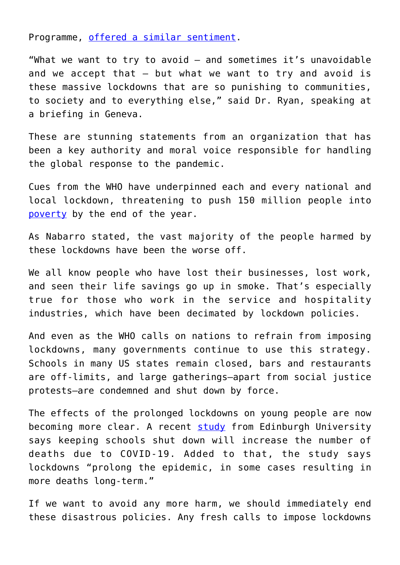Programme, [offered a similar sentiment](https://uk.reuters.com/article/uk-health-coronavirus-who-idUKKBN26U1ZW).

"What we want to try to avoid – and sometimes it's unavoidable and we accept that – but what we want to try and avoid is these massive lockdowns that are so punishing to communities, to society and to everything else," said Dr. Ryan, speaking at a briefing in Geneva.

These are stunning statements from an organization that has been a key authority and moral voice responsible for handling the global response to the pandemic.

Cues from the WHO have underpinned each and every national and local lockdown, threatening to push 150 million people into [poverty](https://www.cnn.com/2020/10/07/economy/global-poverty-rate-coronavirus/index.html) by the end of the year.

As Nabarro stated, the vast majority of the people harmed by these lockdowns have been the worse off.

We all know people who have lost their businesses, lost work, and seen their life savings go up in smoke. That's especially true for those who work in the service and hospitality industries, which have been decimated by lockdown policies.

And even as the WHO calls on nations to refrain from imposing lockdowns, many governments continue to use this strategy. Schools in many US states remain closed, bars and restaurants are off-limits, and large gatherings–apart from social justice protests–are condemned and shut down by force.

The effects of the prolonged lockdowns on young people are now becoming more clear. A recent [study](https://www.ed.ac.uk/news/2020/shutting-schools-increases-covid-19-deaths-study-f) from Edinburgh University says keeping schools shut down will increase the number of deaths due to COVID-19. Added to that, the study says lockdowns "prolong the epidemic, in some cases resulting in more deaths long-term."

If we want to avoid any more harm, we should immediately end these disastrous policies. Any fresh calls to impose lockdowns